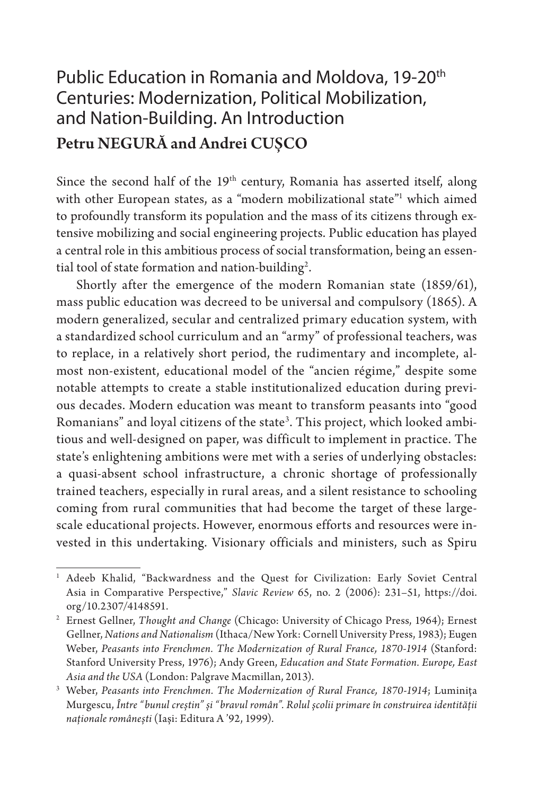## Public Education in Romania and Moldova, 19-20<sup>th</sup> Centuries: Modernization, Political Mobilization, and Nation-Building. An Introduction Petru NEGURĂ and Andrei CUȘCO

Since the second half of the 19<sup>th</sup> century, Romania has asserted itself, along with other European states, as a "modern mobilizational state"1 which aimed to profoundly transform its population and the mass of its citizens through extensive mobilizing and social engineering projects. Public education has played a central role in this ambitious process of social transformation, being an essential tool of state formation and nation-building<sup>2</sup>.

Shortly after the emergence of the modern Romanian state (1859/61), mass public education was decreed to be universal and compulsory (1865). A modern generalized, secular and centralized primary education system, with a standardized school curriculum and an "army" of professional teachers, was to replace, in a relatively short period, the rudimentary and incomplete, almost non-existent, educational model of the "ancien régime," despite some notable attempts to create a stable institutionalized education during previous decades. Modern education was meant to transform peasants into "good Romanians" and loyal citizens of the state3 . This project, which looked ambitious and well-designed on paper, was difficult to implement in practice. The state's enlightening ambitions were met with a series of underlying obstacles: a quasi-absent school infrastructure, a chronic shortage of professionally trained teachers, especially in rural areas, and a silent resistance to schooling coming from rural communities that had become the target of these largescale educational projects. However, enormous efforts and resources were invested in this undertaking. Visionary officials and ministers, such as Spiru

<sup>1</sup> Adeeb Khalid, "Backwardness and the Quest for Civilization: Early Soviet Central Asia in Comparative Perspective," *Slavic Review* 65, no. 2 (2006): 231–51, https://doi. org/10.2307/4148591.

<sup>2</sup> Ernest Gellner, *Thought and Change* (Chicago: University of Chicago Press, 1964); Ernest Gellner, *Nations and Nationalism* (Ithaca/New York: Cornell University Press, 1983); Eugen Weber, *Peasants into Frenchmen. The Modernization of Rural France, 1870-1914* (Stanford: Stanford University Press, 1976); Andy Green, *Education and State Formation. Europe, East Asia and the USA* (London: Palgrave Macmillan, 2013).

<sup>3</sup> Weber, *Peasants into Frenchmen. The Modernization of Rural France, 1870-1914*; Luminița Murgescu, *Între "bunul creștin" și "bravul român". Rolul școlii primare în construirea identității naționale românești* (Iași: Editura A '92, 1999).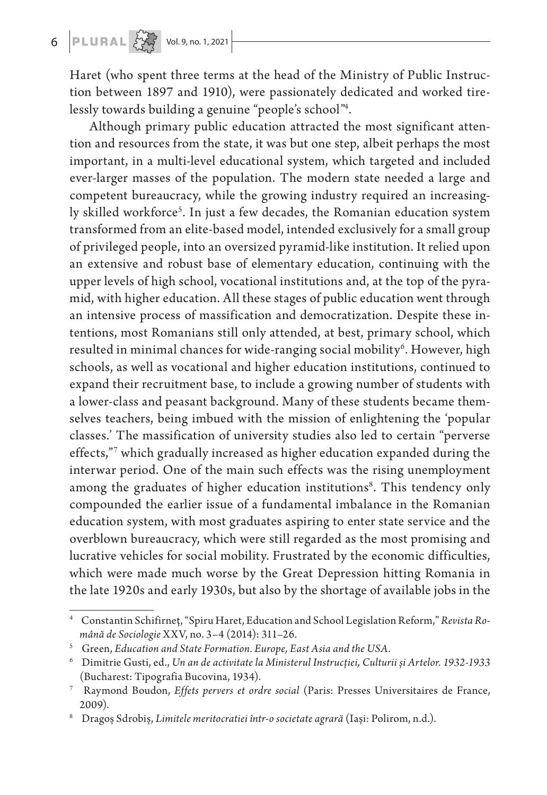## 6 **PLURAL**  $\left\{\begin{matrix} 1 \\ 1 \end{matrix}\right\}$  Vol. 9, no. 1, 2021

Haret (who spent three terms at the head of the Ministry of Public Instruction between 1897 and 1910), were passionately dedicated and worked tirelessly towards building a genuine "people's school"4 .

Although primary public education attracted the most significant attention and resources from the state, it was but one step, albeit perhaps the most important, in a multi-level educational system, which targeted and included ever-larger masses of the population. The modern state needed a large and competent bureaucracy, while the growing industry required an increasingly skilled workforce<sup>s</sup>. In just a few decades, the Romanian education system transformed from an elite-based model, intended exclusively for a small group of privileged people, into an oversized pyramid-like institution. It relied upon an extensive and robust base of elementary education, continuing with the upper levels of high school, vocational institutions and, at the top of the pyramid, with higher education. All these stages of public education went through an intensive process of massification and democratization. Despite these intentions, most Romanians still only attended, at best, primary school, which resulted in minimal chances for wide-ranging social mobility $^6$ . However, high schools, as well as vocational and higher education institutions, continued to expand their recruitment base, to include a growing number of students with a lower-class and peasant background. Many of these students became themselves teachers, being imbued with the mission of enlightening the 'popular classes.' The massification of university studies also led to certain "perverse effects,"7 which gradually increased as higher education expanded during the interwar period. One of the main such effects was the rising unemployment among the graduates of higher education institutions<sup>8</sup>. This tendency only compounded the earlier issue of a fundamental imbalance in the Romanian education system, with most graduates aspiring to enter state service and the overblown bureaucracy, which were still regarded as the most promising and lucrative vehicles for social mobility. Frustrated by the economic difficulties, which were made much worse by the Great Depression hitting Romania in the late 1920s and early 1930s, but also by the shortage of available jobs in the

<sup>4</sup> Constantin Schifirneț, "Spiru Haret, Education and School Legislation Reform," *Revista Română de Sociologie* XXV, no. 3–4 (2014): 311–26.

<sup>5</sup> Green, *Education and State Formation. Europe, East Asia and the USA*.

<sup>6</sup> Dimitrie Gusti, ed., *Un an de activitate la Ministerul Instrucţiei, Culturii și Artelor. 1932-1933* (Bucharest: Tipografia Bucovina, 1934).

<sup>7</sup> Raymond Boudon, *Effets pervers et ordre social* (Paris: Presses Universitaires de France, 2009).

<sup>8</sup> Dragoș Sdrobiș, *Limitele meritocratiei într-o societate agrară* (Iași: Polirom, n.d.).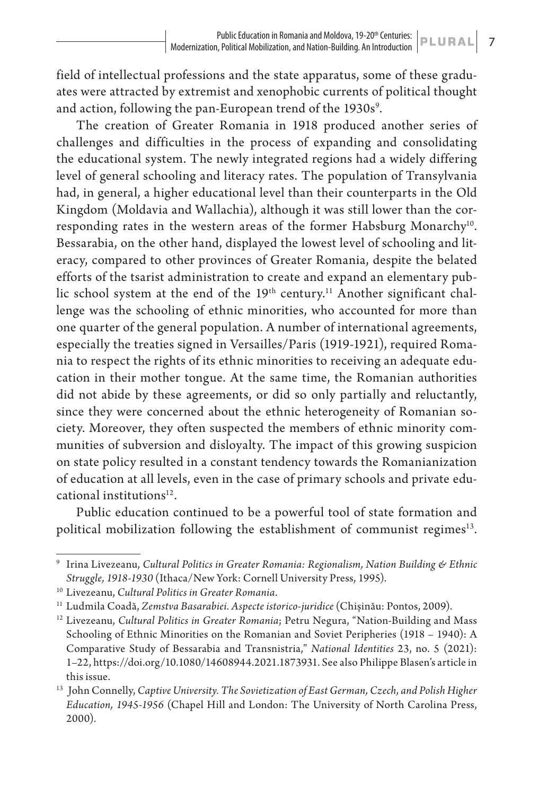field of intellectual professions and the state apparatus, some of these graduates were attracted by extremist and xenophobic currents of political thought and action, following the pan-European trend of the 1930s<sup>9</sup>.

The creation of Greater Romania in 1918 produced another series of challenges and difficulties in the process of expanding and consolidating the educational system. The newly integrated regions had a widely differing level of general schooling and literacy rates. The population of Transylvania had, in general, a higher educational level than their counterparts in the Old Kingdom (Moldavia and Wallachia), although it was still lower than the corresponding rates in the western areas of the former Habsburg Monarchy<sup>10</sup>. Bessarabia, on the other hand, displayed the lowest level of schooling and literacy, compared to other provinces of Greater Romania, despite the belated efforts of the tsarist administration to create and expand an elementary public school system at the end of the  $19<sup>th</sup>$  century.<sup>11</sup> Another significant challenge was the schooling of ethnic minorities, who accounted for more than one quarter of the general population. A number of international agreements, especially the treaties signed in Versailles/Paris (1919-1921), required Romania to respect the rights of its ethnic minorities to receiving an adequate education in their mother tongue. At the same time, the Romanian authorities did not abide by these agreements, or did so only partially and reluctantly, since they were concerned about the ethnic heterogeneity of Romanian society. Moreover, they often suspected the members of ethnic minority communities of subversion and disloyalty. The impact of this growing suspicion on state policy resulted in a constant tendency towards the Romanianization of education at all levels, even in the case of primary schools and private educational institutions $12$ .

Public education continued to be a powerful tool of state formation and political mobilization following the establishment of communist regimes<sup>13</sup>.

<sup>9</sup> Irina Livezeanu, *Cultural Politics in Greater Romania: Regionalism, Nation Building & Ethnic Struggle, 1918-1930* (Ithaca/New York: Cornell University Press, 1995).

<sup>10</sup> Livezeanu, *Cultural Politics in Greater Romania*.

<sup>11</sup> Ludmila Coadă, *Zemstva Basarabiei. Aspecte istorico‐juridice* (Chișinău: Pontos, 2009).

<sup>&</sup>lt;sup>12</sup> Livezeanu, *Cultural Politics in Greater Romania*; Petru Negura, "Nation-Building and Mass Schooling of Ethnic Minorities on the Romanian and Soviet Peripheries (1918 – 1940): A Comparative Study of Bessarabia and Transnistria," *National Identities* 23, no. 5 (2021): 1–22, https://doi.org/10.1080/14608944.2021.1873931. See also Philippe Blasen's article in this issue.

<sup>13</sup> John Connelly, *Captive University. The Sovietization of East German, Czech, and Polish Higher Education, 1945-1956* (Chapel Hill and London: The University of North Carolina Press, 2000).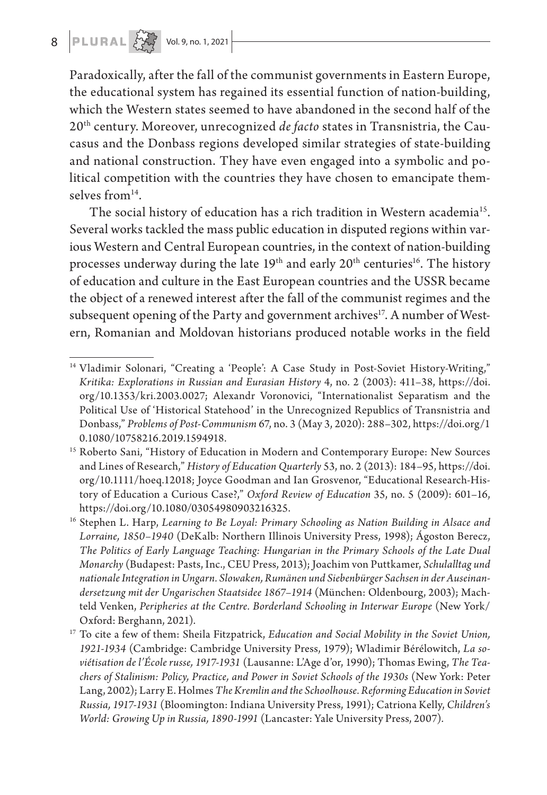## 8  $\left| \mathbf{PLURAL} \left| \frac{\sum_{i=1}^{N} x_i}{\sum_{i=1}^{N} y_i} \right| \right.$  Vol. 9, no. 1, 2021

Paradoxically, after the fall of the communist governments in Eastern Europe, the educational system has regained its essential function of nation-building, which the Western states seemed to have abandoned in the second half of the 20th century. Moreover, unrecognized *de facto* states in Transnistria, the Caucasus and the Donbass regions developed similar strategies of state-building and national construction. They have even engaged into a symbolic and political competition with the countries they have chosen to emancipate themselves from $14$ .

The social history of education has a rich tradition in Western academia<sup>15</sup>. Several works tackled the mass public education in disputed regions within various Western and Central European countries, in the context of nation-building processes underway during the late  $19<sup>th</sup>$  and early  $20<sup>th</sup>$  centuries<sup>16</sup>. The history of education and culture in the East European countries and the USSR became the object of a renewed interest after the fall of the communist regimes and the subsequent opening of the Party and government archives<sup>17</sup>. A number of Western, Romanian and Moldovan historians produced notable works in the field

<sup>&</sup>lt;sup>14</sup> Vladimir Solonari, "Creating a 'People': A Case Study in Post-Soviet History-Writing," *Kritika: Explorations in Russian and Eurasian History* 4, no. 2 (2003): 411–38, https://doi. org/10.1353/kri.2003.0027; Alexandr Voronovici, "Internationalist Separatism and the Political Use of 'Historical Statehood' in the Unrecognized Republics of Transnistria and Donbass," *Problems of Post-Communism* 67, no. 3 (May 3, 2020): 288–302, https://doi.org/1 0.1080/10758216.2019.1594918.

<sup>&</sup>lt;sup>15</sup> Roberto Sani, "History of Education in Modern and Contemporary Europe: New Sources and Lines of Research," *History of Education Quarterly* 53, no. 2 (2013): 184–95, https://doi. org/10.1111/hoeq.12018; Joyce Goodman and Ian Grosvenor, "Educational Research-History of Education a Curious Case?," *Oxford Review of Education* 35, no. 5 (2009): 601–16, https://doi.org/10.1080/03054980903216325.

<sup>16</sup> Stephen L. Harp, *Learning to Be Loyal: Primary Schooling as Nation Building in Alsace and Lorraine, 1850–1940* (DeKalb: Northern Illinois University Press, 1998); Ágoston Berecz, *The Politics of Early Language Teaching: Hungarian in the Primary Schools of the Late Dual Monarchy* (Budapest: Pasts, Inc., CEU Press, 2013); Joachim von Puttkamer, *Schulalltag und nationale Integration in Ungarn. Slowaken, Rumänen und Siebenbürger Sachsen in der Auseinandersetzung mit der Ungarischen Staatsidee 1867–1914* (München: Oldenbourg, 2003); Machteld Venken, *Peripheries at the Centre. Borderland Schooling in Interwar Europe* (New York/ Oxford: Berghann, 2021).

<sup>17</sup> To cite a few of them: Sheila Fitzpatrick, *Education and Social Mobility in the Soviet Union, 1921-1934* (Cambridge: Cambridge University Press, 1979); Wladimir Bérélowitch, *La soviétisation de l'École russe, 1917-1931* (Lausanne: L'Age d'or, 1990); Thomas Ewing, *The Teachers of Stalinism: Policy, Practice, and Power in Soviet Schools of the 1930s* (New York: Peter Lang, 2002); Larry E. Holmes *The Kremlin and the Schoolhouse. Reforming Education in Soviet Russia, 1917-1931* (Bloomington: Indiana University Press, 1991); Catriona Kelly, *Children's World: Growing Up in Russia, 1890-1991* (Lancaster: Yale University Press, 2007).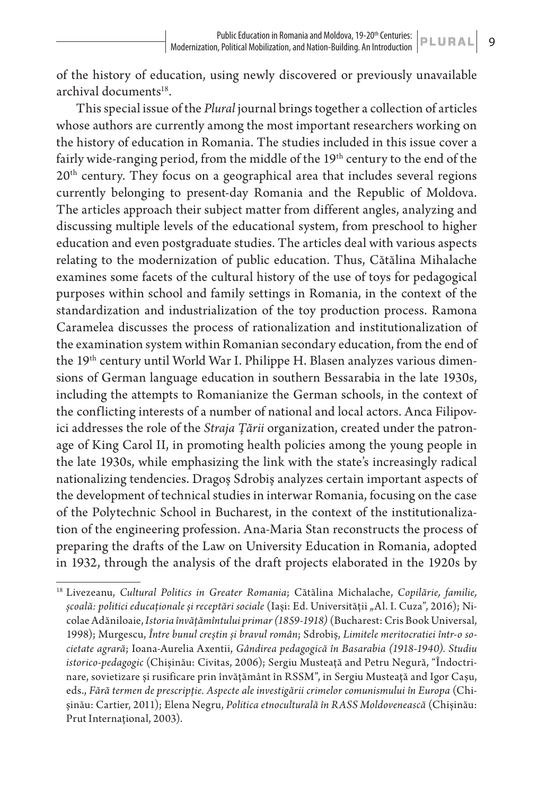of the history of education, using newly discovered or previously unavailable archival documents<sup>18</sup>.

This special issue of the *Plural* journal brings together a collection of articles whose authors are currently among the most important researchers working on the history of education in Romania. The studies included in this issue cover a fairly wide-ranging period, from the middle of the 19<sup>th</sup> century to the end of the  $20<sup>th</sup>$  century. They focus on a geographical area that includes several regions currently belonging to present-day Romania and the Republic of Moldova. The articles approach their subject matter from different angles, analyzing and discussing multiple levels of the educational system, from preschool to higher education and even postgraduate studies. The articles deal with various aspects relating to the modernization of public education. Thus, Cătălina Mihalache examines some facets of the cultural history of the use of toys for pedagogical purposes within school and family settings in Romania, in the context of the standardization and industrialization of the toy production process. Ramona Caramelea discusses the process of rationalization and institutionalization of the examination system within Romanian secondary education, from the end of the 19th century until World War I. Philippe H. Blasen analyzes various dimensions of German language education in southern Bessarabia in the late 1930s, including the attempts to Romanianize the German schools, in the context of the conflicting interests of a number of national and local actors. Anca Filipovici addresses the role of the *Straja Țării* organization, created under the patronage of King Carol II, in promoting health policies among the young people in the late 1930s, while emphasizing the link with the state's increasingly radical nationalizing tendencies. Dragoș Sdrobiș analyzes certain important aspects of the development of technical studies in interwar Romania, focusing on the case of the Polytechnic School in Bucharest, in the context of the institutionalization of the engineering profession. Ana-Maria Stan reconstructs the process of preparing the drafts of the Law on University Education in Romania, adopted in 1932, through the analysis of the draft projects elaborated in the 1920s by

<sup>18</sup> Livezeanu, *Cultural Politics in Greater Romania*; Cătălina Michalache, *Copilărie, familie, școală: politici educaționale și receptări sociale* (Iași: Ed. Universității "Al. I. Cuza", 2016); Nicolae Adăniloaie, *Istoria învăţămîntului primar (1859-1918)* (Bucharest: Cris Book Universal, 1998); Murgescu, *Între bunul creștin și bravul român*; Sdrobiș, *Limitele meritocratiei într-o societate agrară*; Ioana-Aurelia Axentii, *Gândirea pedagogică în Basarabia (1918-1940). Studiu istorico-pedagogic* (Chișinău: Civitas, 2006); Sergiu Musteaţă and Petru Negură, "Îndoctrinare, sovietizare și rusificare prin învăţământ în RSSM", in Sergiu Musteaţă and Igor Cașu, eds., *Fără termen de prescripţie. Aspecte ale investigării crimelor comunismului în Europa* (Chișinău: Cartier, 2011); Elena Negru, *Politica etnoculturală în RASS Moldovenească* (Chișinău: Prut Internaţional, 2003).